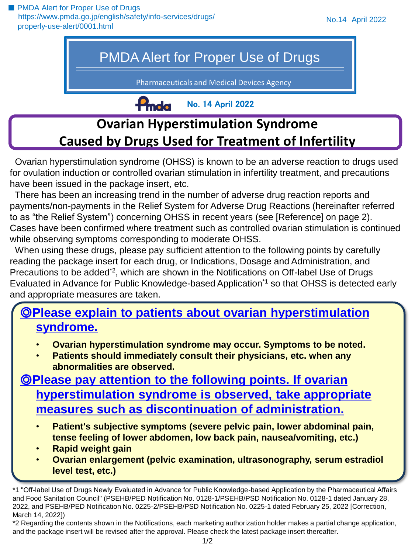■ PMDA Alert for Proper Use of Drugs [https://www.pmda.go.jp/english/safety/info-services/drugs/](https://www.pmda.go.jp/english/safety/info-services/drugs/properly-use-alert/0001.html) properly-use-alert/0001.html

# PMDA Alert for Proper Use of Drugs

Pharmaceuticals and Medical Devices Agency

No. 14 April 2022

# **f<sup></sup>mda Ovarian Hyperstimulation Syndrome Caused by Drugs Used for Treatment of Infertility**

Ovarian hyperstimulation syndrome (OHSS) is known to be an adverse reaction to drugs used for ovulation induction or controlled ovarian stimulation in infertility treatment, and precautions have been issued in the package insert, etc.

There has been an increasing trend in the number of adverse drug reaction reports and payments/non-payments in the Relief System for Adverse Drug Reactions (hereinafter referred to as "the Relief System") concerning OHSS in recent years (see [Reference] on page 2). Cases have been confirmed where treatment such as controlled ovarian stimulation is continued while observing symptoms corresponding to moderate OHSS.

When using these drugs, please pay sufficient attention to the following points by carefully reading the package insert for each drug, or Indications, Dosage and Administration, and Precautions to be added<sup>\*2</sup>, which are shown in the Notifications on Off-label Use of Drugs Evaluated in Advance for Public Knowledge-based Application<sup>\*1</sup> so that OHSS is detected early and appropriate measures are taken.

### ◎**Please explain to patients about ovarian hyperstimulation syndrome.**

- **Ovarian hyperstimulation syndrome may occur. Symptoms to be noted.**
- **Patients should immediately consult their physicians, etc. when any abnormalities are observed.**

### ◎**Please pay attention to the following points. If ovarian hyperstimulation syndrome is observed, take appropriate measures such as discontinuation of administration.**

- **Patient's subjective symptoms (severe pelvic pain, lower abdominal pain, tense feeling of lower abdomen, low back pain, nausea/vomiting, etc.)**
- **Rapid weight gain**
- **Ovarian enlargement (pelvic examination, ultrasonography, serum estradiol level test, etc.)**

<sup>\*1 &</sup>quot;Off-label Use of Drugs Newly Evaluated in Advance for Public Knowledge-based Application by the Pharmaceutical Affairs and Food Sanitation Council" (PSEHB/PED Notification No. 0128-1/PSEHB/PSD Notification No. 0128-1 dated January 28, 2022, and PSEHB/PED Notification No. 0225-2/PSEHB/PSD Notification No. 0225-1 dated February 25, 2022 [Correction, March 14, 2022])

<sup>\*2</sup> Regarding the contents shown in the Notifications, each marketing authorization holder makes a partial change application, and the package insert will be revised after the approval. Please check the latest package insert thereafter.